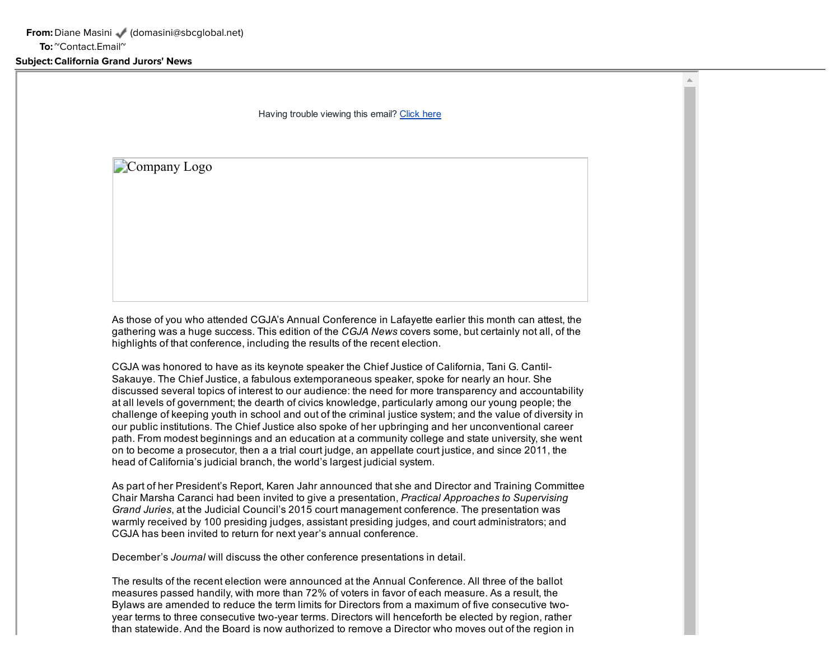Having trouble viewing this email? Click here

Company Logo

As those of you who attended CGJA's Annual Conference in Lafayette earlier this month can attest, the gathering was a huge success. This edition of the *CGJA News* covers some, but certainly not all, of the highlights of that conference, including the results of the recent election.

CGJA was honored to have as its keynote speaker the Chief Justice of California, Tani G. Cantil-Sakauye. The Chief Justice, a fabulous extemporaneous speaker, spoke for nearly an hour. She discussed several topics of interest to our audience: the need for more transparency and accountability at all levels of government; the dearth of civics knowledge, particularly among our young people; the challenge of keeping youth in school and out of the criminal justice system; and the value of diversity in our public institutions. The Chief Justice also spoke of her upbringing and her unconventional career path. From modest beginnings and an education at a community college and state university, she went on to become a prosecutor, then a a trial court judge, an appellate court justice, and since 2011, the head of California's judicial branch, the world's largest judicial system.

As part of her President's Report, Karen Jahr announced that she and Director and Training Committee Chair Marsha Caranci had been invited to give a presentation, *Practical Approaches to Supervising Grand Juries*, at the Judicial Council's 2015 court management conference. The presentation was warmly received by 100 presiding judges, assistant presiding judges, and court administrators; and CGJA has been invited to return for next year's annual conference.

December's *Journal* will discuss the other conference presentations in detail.

The results of the recent election were announced at the Annual Conference. All three of the ballot measures passed handily, with more than 72% of voters in favor of each measure. As a result, the Bylaws are amended to reduce the term limits for Directors from a maximum of five consecutive twoyear terms to three consecutive two-year terms. Directors will henceforth be elected by region, rather than statewide. And the Board is now authorized to remove a Director who moves out of the region in